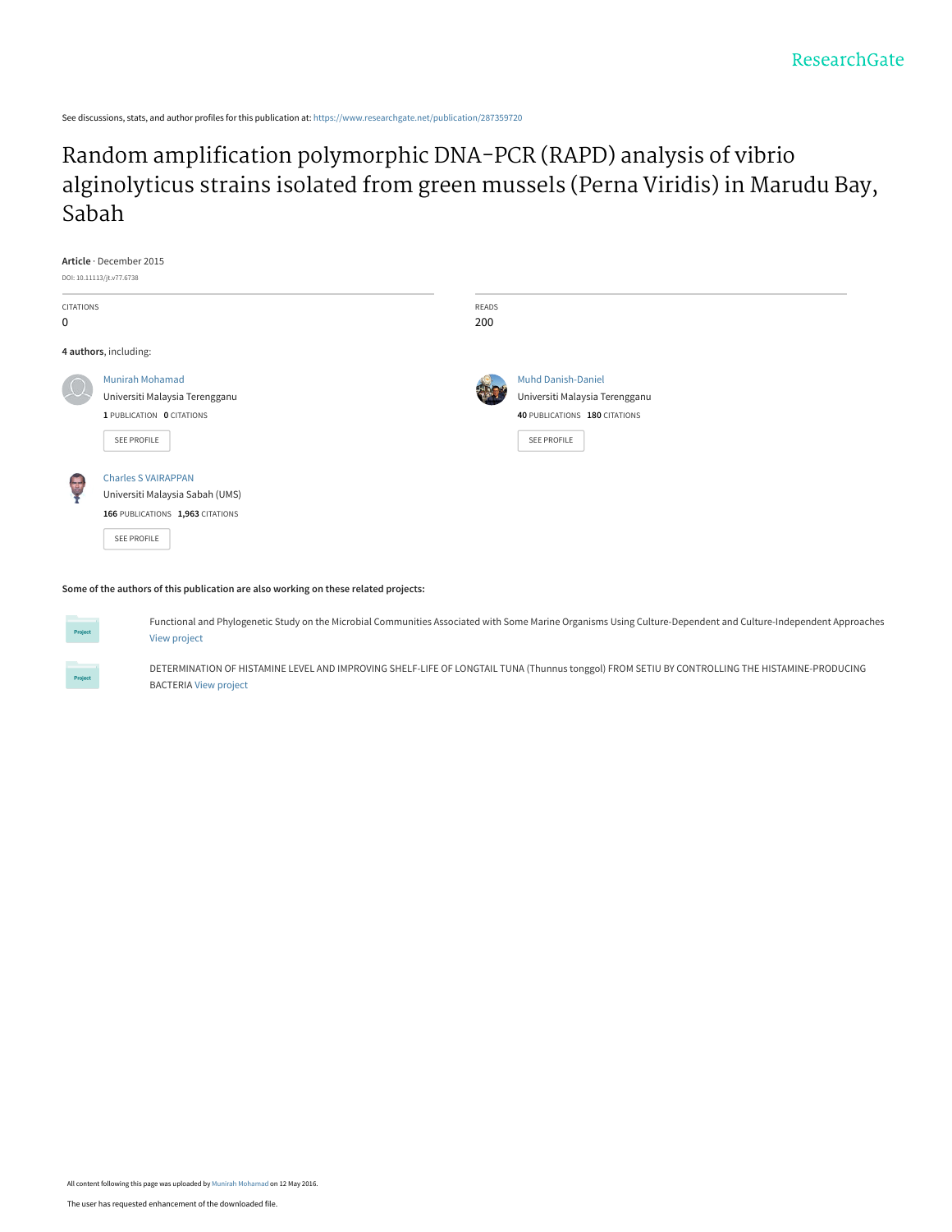See discussions, stats, and author profiles for this publication at: [https://www.researchgate.net/publication/287359720](https://www.researchgate.net/publication/287359720_Random_amplification_polymorphic_DNA-PCR_RAPD_analysis_of_vibrio_alginolyticus_strains_isolated_from_green_mussels_Perna_Viridis_in_Marudu_Bay_Sabah?enrichId=rgreq-688c4c3c34e33402246bb8e7d7941606-XXX&enrichSource=Y292ZXJQYWdlOzI4NzM1OTcyMDtBUzozNjA4MjgxNDM0NTYyNTZAMTQ2MzAzOTU0MTg1NQ%3D%3D&el=1_x_2&_esc=publicationCoverPdf)

### Random amplification polymorphic DNA-PCR (RAPD) analysis of vibrio [alginolyticus strains isolated from green mussels \(Perna Viridis\) in Marudu Bay,](https://www.researchgate.net/publication/287359720_Random_amplification_polymorphic_DNA-PCR_RAPD_analysis_of_vibrio_alginolyticus_strains_isolated_from_green_mussels_Perna_Viridis_in_Marudu_Bay_Sabah?enrichId=rgreq-688c4c3c34e33402246bb8e7d7941606-XXX&enrichSource=Y292ZXJQYWdlOzI4NzM1OTcyMDtBUzozNjA4MjgxNDM0NTYyNTZAMTQ2MzAzOTU0MTg1NQ%3D%3D&el=1_x_3&_esc=publicationCoverPdf) Sabah

|                       | Article · December 2015<br>DOI: 10.11113/jt.v77.6738                                                             |                     |                                                                                                             |
|-----------------------|------------------------------------------------------------------------------------------------------------------|---------------------|-------------------------------------------------------------------------------------------------------------|
| <b>CITATIONS</b><br>0 |                                                                                                                  | <b>READS</b><br>200 |                                                                                                             |
|                       | 4 authors, including:                                                                                            |                     |                                                                                                             |
|                       | <b>Munirah Mohamad</b><br>Universiti Malaysia Terengganu<br>1 PUBLICATION 0 CITATIONS<br>SEE PROFILE             |                     | <b>Muhd Danish-Daniel</b><br>Universiti Malaysia Terengganu<br>40 PUBLICATIONS 180 CITATIONS<br>SEE PROFILE |
| 西                     | <b>Charles S VAIRAPPAN</b><br>Universiti Malaysia Sabah (UMS)<br>166 PUBLICATIONS 1,963 CITATIONS<br>SEE PROFILE |                     |                                                                                                             |

**Some of the authors of this publication are also working on these related projects:**



Functional and Phylogenetic Study on the Microbial Communities Associated with Some Marine Organisms Using Culture-Dependent and Culture-Independent Approaches [View project](https://www.researchgate.net/project/Functional-and-Phylogenetic-Study-on-the-Microbial-Communities-Associated-with-Some-Marine-Organisms-Using-Culture-Dependent-and-Culture-Independent-Approaches?enrichId=rgreq-688c4c3c34e33402246bb8e7d7941606-XXX&enrichSource=Y292ZXJQYWdlOzI4NzM1OTcyMDtBUzozNjA4MjgxNDM0NTYyNTZAMTQ2MzAzOTU0MTg1NQ%3D%3D&el=1_x_9&_esc=publicationCoverPdf)

DETERMINATION OF HISTAMINE LEVEL AND IMPROVING SHELF-LIFE OF LONGTAIL TUNA (Thunnus tonggol) FROM SETIU BY CONTROLLING THE HISTAMINE-PRODUCING BACTERIA [View project](https://www.researchgate.net/project/DETERMINATION-OF-HISTAMINE-LEVEL-AND-IMPROVING-SHELF-LIFE-OF-LONGTAIL-TUNA-Thunnus-tonggol-FROM-SETIU-BY-CONTROLLING-THE-HISTAMINE-PRODUCING-BACTERIA?enrichId=rgreq-688c4c3c34e33402246bb8e7d7941606-XXX&enrichSource=Y292ZXJQYWdlOzI4NzM1OTcyMDtBUzozNjA4MjgxNDM0NTYyNTZAMTQ2MzAzOTU0MTg1NQ%3D%3D&el=1_x_9&_esc=publicationCoverPdf)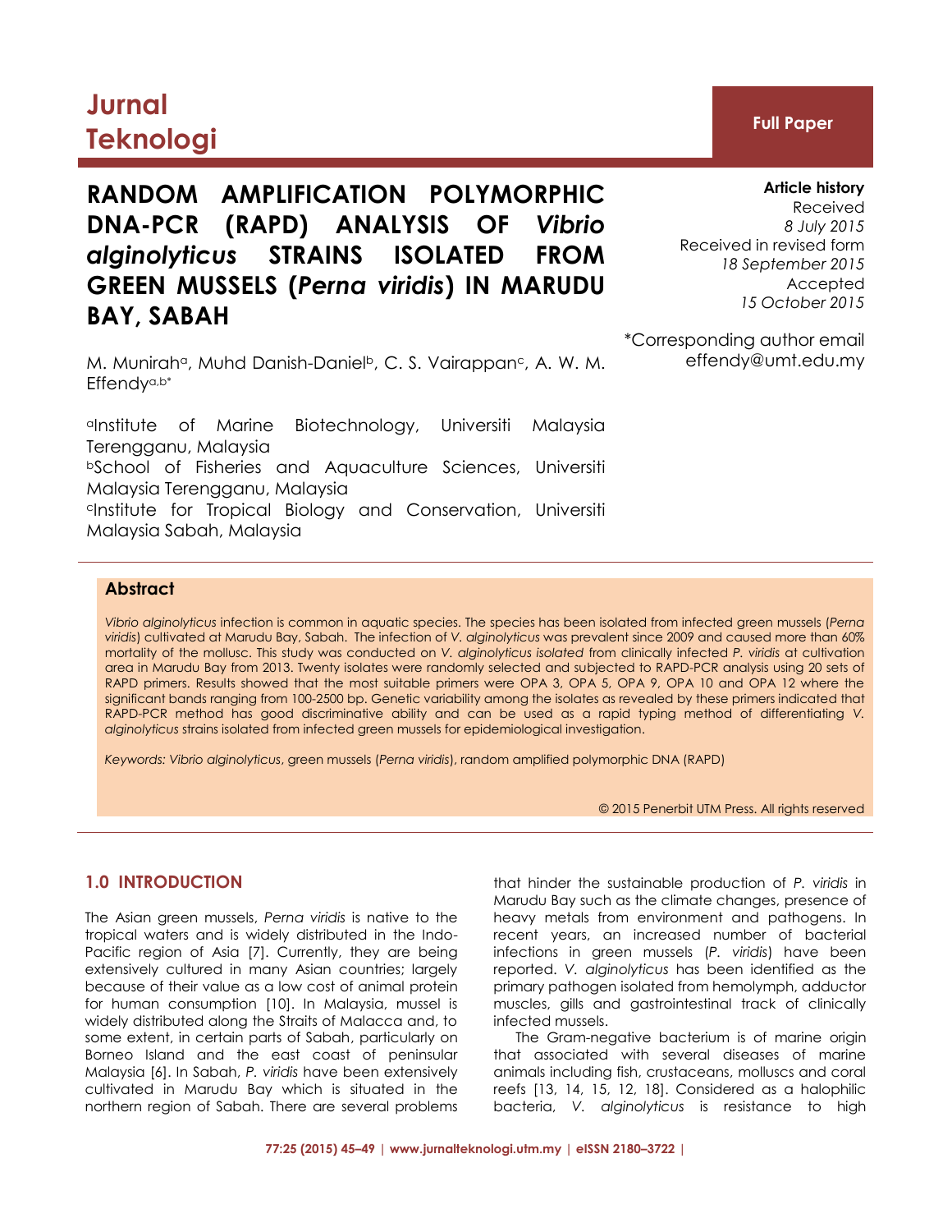# **Jurnal Teknologi Full Paper**

## **RANDOM AMPLIFICATION POLYMORPHIC DNA-PCR (RAPD) ANALYSIS OF** *Vibrio alginolyticus* **STRAINS ISOLATED FROM GREEN MUSSELS (***Perna viridis***) IN MARUDU BAY, SABAH**

M. Munirah<sup>a</sup>, Muhd Danish-Daniel<sup>b</sup>, C. S. Vairappan<sup>c</sup>, A. W. M. Effendya,b\*

aInstitute of Marine Biotechnology, Universiti Malaysia Terengganu, Malaysia **bSchool of Fisheries and Aquaculture Sciences, Universiti** Malaysia Terengganu, Malaysia cInstitute for Tropical Biology and Conservation, Universiti Malaysia Sabah, Malaysia

**Article history** Received *8 July 2015* Received in revised form *18 September 2015* Accepted *15 October 2015*

\*Corresponding author email effendy@umt.edu.my

#### **Abstract**

*Vibrio alginolyticus* infection is common in aquatic species. The species has been isolated from infected green mussels (*Perna viridis*) cultivated at Marudu Bay, Sabah. The infection of *V. alginolyticus* was prevalent since 2009 and caused more than 60% mortality of the mollusc. This study was conducted on *V. alginolyticus isolated* from clinically infected *P. viridis* at cultivation area in Marudu Bay from 2013. Twenty isolates were randomly selected and subjected to RAPD-PCR analysis using 20 sets of RAPD primers. Results showed that the most suitable primers were OPA 3, OPA 5, OPA 9, OPA 10 and OPA 12 where the significant bands ranging from 100-2500 bp. Genetic variability among the isolates as revealed by these primers indicated that RAPD-PCR method has good discriminative ability and can be used as a rapid typing method of differentiating *V. alginolyticus* strains isolated from infected green mussels for epidemiological investigation.

*Keywords: Vibrio alginolyticus*, green mussels (*Perna viridis*), random amplified polymorphic DNA (RAPD)

© 2015 Penerbit UTM Press. All rights reserved

#### **1.0 INTRODUCTION**

The Asian green mussels, *Perna viridis* is native to the tropical waters and is widely distributed in the Indo-Pacific region of Asia [7]. Currently, they are being extensively cultured in many Asian countries; largely because of their value as a low cost of animal protein for human consumption [10]. In Malaysia, mussel is widely distributed along the Straits of Malacca and, to some extent, in certain parts of Sabah, particularly on Borneo Island and the east coast of peninsular Malaysia [6]. In Sabah, *P. viridis* have been extensively cultivated in Marudu Bay which is situated in the northern region of Sabah. There are several problems

that hinder the sustainable production of *P. viridis* in Marudu Bay such as the climate changes, presence of heavy metals from environment and pathogens. In recent years, an increased number of bacterial infections in green mussels (*P. viridis*) have been reported. *V. alginolyticus* has been identified as the primary pathogen isolated from hemolymph, adductor muscles, gills and gastrointestinal track of clinically infected mussels.

The Gram-negative bacterium is of marine origin that associated with several diseases of marine animals including fish, crustaceans, molluscs and coral reefs [13, 14, 15, 12, 18]. Considered as a halophilic bacteria, *V. alginolyticus* is resistance to high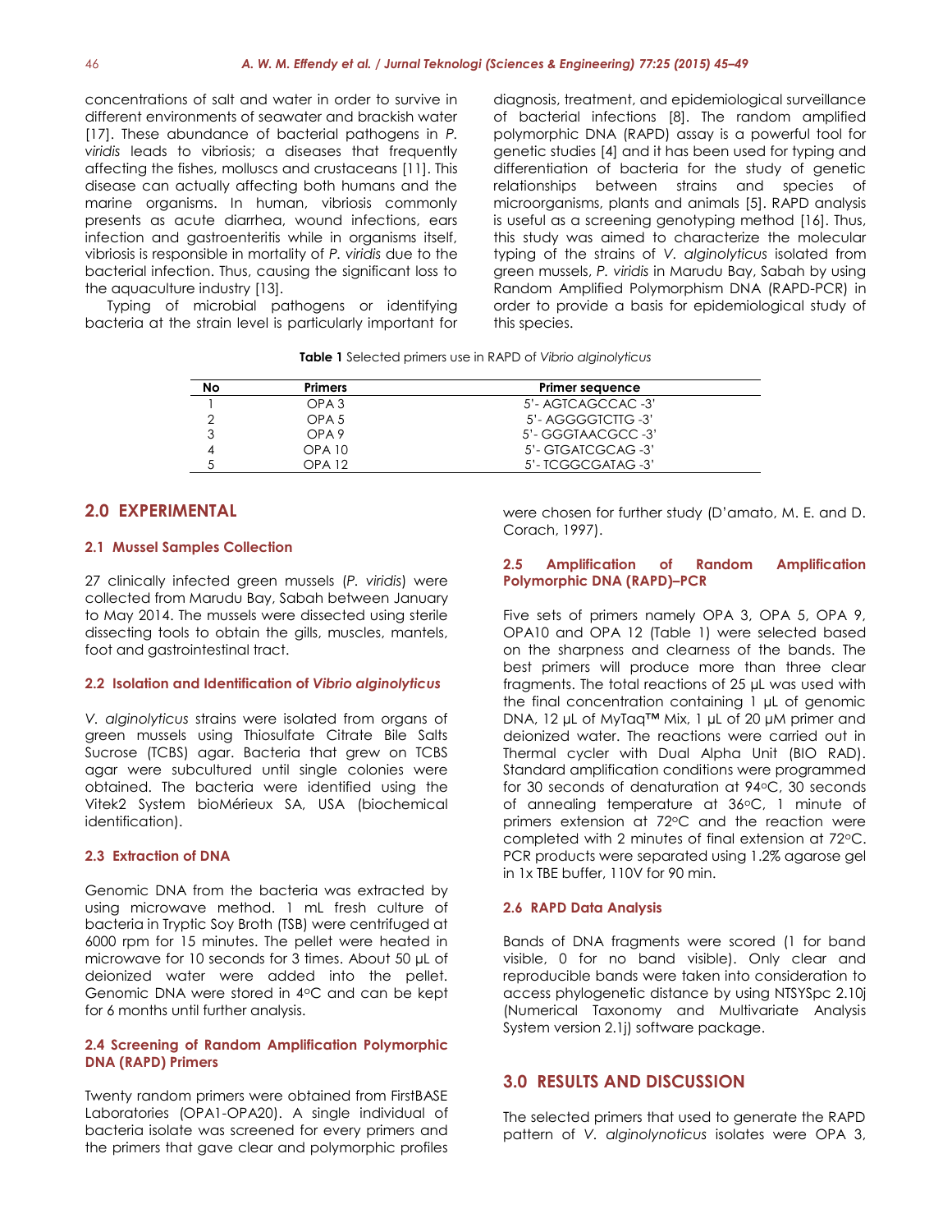concentrations of salt and water in order to survive in different environments of seawater and brackish water [17]. These abundance of bacterial pathogens in *P. viridis* leads to vibriosis; a diseases that frequently affecting the fishes, molluscs and crustaceans [11]. This disease can actually affecting both humans and the marine organisms. In human, vibriosis commonly presents as acute diarrhea, wound infections, ears infection and gastroenteritis while in organisms itself, vibriosis is responsible in mortality of *P. viridis* due to the bacterial infection. Thus, causing the significant loss to the aquaculture industry [13].

Typing of microbial pathogens or identifying bacteria at the strain level is particularly important for

diagnosis, treatment, and epidemiological surveillance of bacterial infections [8]. The random amplified polymorphic DNA (RAPD) assay is a powerful tool for genetic studies [4] and it has been used for typing and differentiation of bacteria for the study of genetic relationships between strains and species of microorganisms, plants and animals [5]. RAPD analysis is useful as a screening genotyping method [16]. Thus, this study was aimed to characterize the molecular typing of the strains of *V. alginolyticus* isolated from green mussels, *P. viridis* in Marudu Bay, Sabah by using Random Amplified Polymorphism DNA (RAPD-PCR) in order to provide a basis for epidemiological study of this species.

**Table 1** Selected primers use in RAPD of *Vibrio alginolyticus*

| No | <b>Primers</b>   | <b>Primer sequence</b> |
|----|------------------|------------------------|
|    | OPA <sub>3</sub> | 5'- AGICAGCCAC -3'     |
|    | OPA <sub>5</sub> | 5'- AGGGGTCTTG -3'     |
|    | OPA <sub>9</sub> | 5'- GGGTAACGCC -3'     |
|    | <b>OPA 10</b>    | 5'- GIGAICGCAG -3'     |
|    | OPA 12           | 5'- ICGGCGATAG -3'     |

#### **2.0 EXPERIMENTAL**

#### **2.1 Mussel Samples Collection**

27 clinically infected green mussels (*P. viridis*) were collected from Marudu Bay, Sabah between January to May 2014. The mussels were dissected using sterile dissecting tools to obtain the gills, muscles, mantels, foot and gastrointestinal tract.

#### **2.2 Isolation and Identification of** *Vibrio alginolyticus*

*V. alginolyticus* strains were isolated from organs of green mussels using Thiosulfate Citrate Bile Salts Sucrose (TCBS) agar. Bacteria that grew on TCBS agar were subcultured until single colonies were obtained. The bacteria were identified using the Vitek2 System bioMérieux SA, USA (biochemical identification).

#### **2.3 Extraction of DNA**

Genomic DNA from the bacteria was extracted by using microwave method. 1 mL fresh culture of bacteria in Tryptic Soy Broth (TSB) were centrifuged at 6000 rpm for 15 minutes. The pellet were heated in microwave for 10 seconds for 3 times. About 50 µL of deionized water were added into the pellet. Genomic DNA were stored in 4°C and can be kept for 6 months until further analysis.

#### **2.4 Screening of Random Amplification Polymorphic DNA (RAPD) Primers**

Twenty random primers were obtained from FirstBASE Laboratories (OPA1-OPA20). A single individual of bacteria isolate was screened for every primers and the primers that gave clear and polymorphic profiles

were chosen for further study (D'amato, M. E. and D. Corach, 1997).

#### **2.5 Amplification of Random Amplification Polymorphic DNA (RAPD)–PCR**

Five sets of primers namely OPA 3, OPA 5, OPA 9, OPA10 and OPA 12 (Table 1) were selected based on the sharpness and clearness of the bands. The best primers will produce more than three clear fragments. The total reactions of 25 µL was used with the final concentration containing 1 µL of genomic DNA, 12 µL of MyTaq™ Mix, 1 µL of 20 µM primer and deionized water. The reactions were carried out in Thermal cycler with Dual Alpha Unit (BIO RAD). Standard amplification conditions were programmed for 30 seconds of denaturation at 94°C, 30 seconds of annealing temperature at 36°C, 1 minute of primers extension at 72°C and the reaction were completed with 2 minutes of final extension at 72°C. PCR products were separated using 1.2% agarose gel in 1x TBE buffer, 110V for 90 min.

#### **2.6 RAPD Data Analysis**

Bands of DNA fragments were scored (1 for band visible, 0 for no band visible). Only clear and reproducible bands were taken into consideration to access phylogenetic distance by using NTSYSpc 2.10j (Numerical Taxonomy and Multivariate Analysis System version 2.1j) software package.

#### **3.0 RESULTS AND DISCUSSION**

The selected primers that used to generate the RAPD pattern of *V. alginolynoticus* isolates were OPA 3,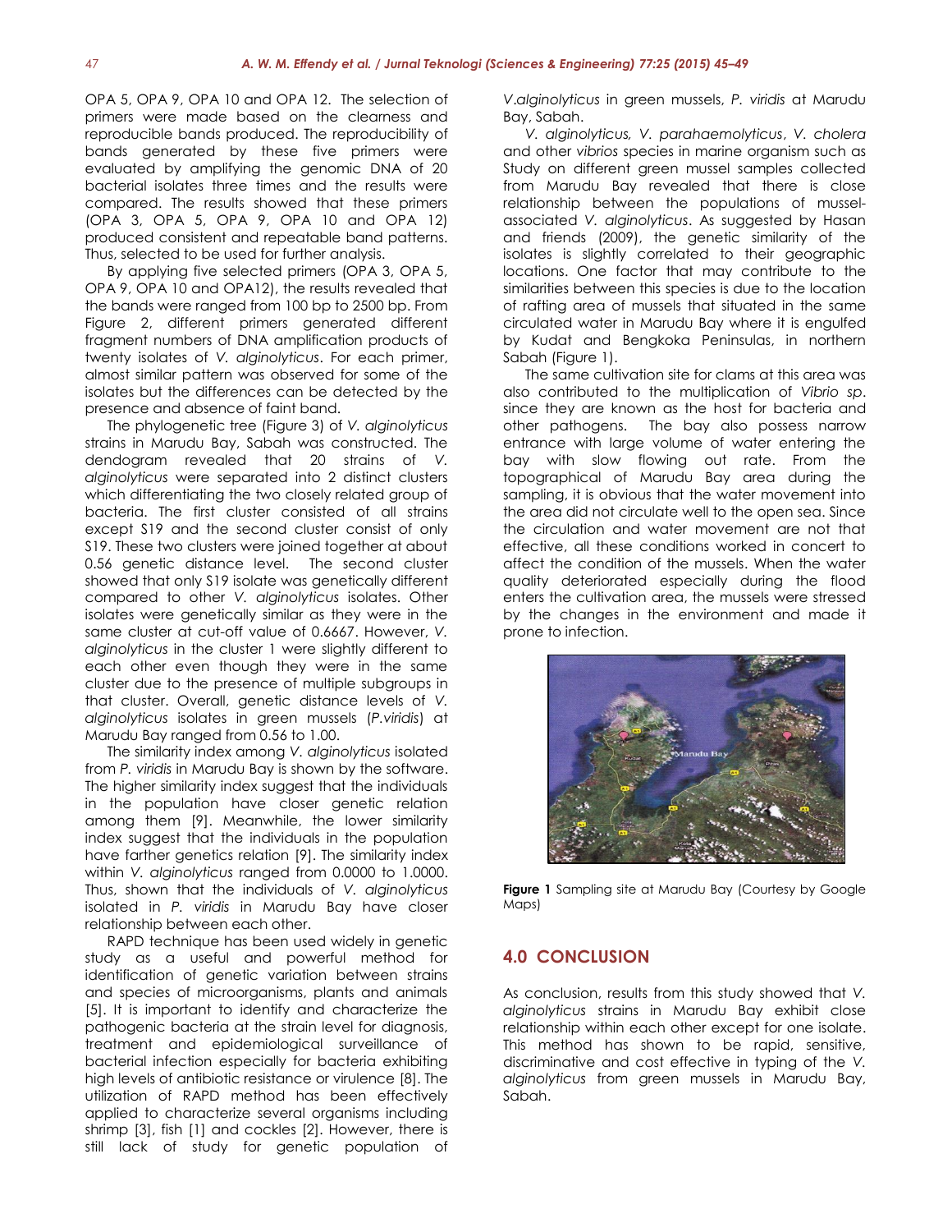OPA 5, OPA 9, OPA 10 and OPA 12. The selection of primers were made based on the clearness and reproducible bands produced. The reproducibility of bands generated by these five primers were evaluated by amplifying the genomic DNA of 20 bacterial isolates three times and the results were compared. The results showed that these primers (OPA 3, OPA 5, OPA 9, OPA 10 and OPA 12) produced consistent and repeatable band patterns. Thus, selected to be used for further analysis.

By applying five selected primers (OPA 3, OPA 5, OPA 9, OPA 10 and OPA12), the results revealed that the bands were ranged from 100 bp to 2500 bp. From Figure 2, different primers generated different fragment numbers of DNA amplification products of twenty isolates of *V. alginolyticus*. For each primer, almost similar pattern was observed for some of the isolates but the differences can be detected by the presence and absence of faint band.

The phylogenetic tree (Figure 3) of *V. alginolyticus* strains in Marudu Bay, Sabah was constructed. The dendogram revealed that 20 strains of *V. alginolyticus* were separated into 2 distinct clusters which differentiating the two closely related group of bacteria. The first cluster consisted of all strains except S19 and the second cluster consist of only S19. These two clusters were joined together at about 0.56 genetic distance level. The second cluster showed that only S19 isolate was genetically different compared to other *V. alginolyticus* isolates. Other isolates were genetically similar as they were in the same cluster at cut-off value of 0.6667. However, *V. alginolyticus* in the cluster 1 were slightly different to each other even though they were in the same cluster due to the presence of multiple subgroups in that cluster. Overall, genetic distance levels of *V. alginolyticus* isolates in green mussels (*P.viridis*) at Marudu Bay ranged from 0.56 to 1.00.

The similarity index among *V. alginolyticus* isolated from *P. viridis* in Marudu Bay is shown by the software. The higher similarity index suggest that the individuals in the population have closer genetic relation among them [9]. Meanwhile, the lower similarity index suggest that the individuals in the population have farther genetics relation [9]. The similarity index within *V. alginolyticus* ranged from 0.0000 to 1.0000. Thus, shown that the individuals of *V. alginolyticus* isolated in *P. viridis* in Marudu Bay have closer relationship between each other.

RAPD technique has been used widely in genetic study as a useful and powerful method for identification of genetic variation between strains and species of microorganisms, plants and animals [5]. It is important to identify and characterize the pathogenic bacteria at the strain level for diagnosis, treatment and epidemiological surveillance of bacterial infection especially for bacteria exhibiting high levels of antibiotic resistance or virulence [8]. The utilization of RAPD method has been effectively applied to characterize several organisms including shrimp [3], fish [1] and cockles [2]. However, there is still lack of study for genetic population of

*V*.*alginolyticus* in green mussels, *P. viridis* at Marudu Bay, Sabah.

*V. alginolyticus, V. parahaemolyticus*, *V. cholera* and other *vibrios* species in marine organism such as Study on different green mussel samples collected from Marudu Bay revealed that there is close relationship between the populations of musselassociated *V. alginolyticus*. As suggested by Hasan and friends (2009), the genetic similarity of the isolates is slightly correlated to their geographic locations. One factor that may contribute to the similarities between this species is due to the location of rafting area of mussels that situated in the same circulated water in Marudu Bay where it is engulfed by Kudat and Bengkoka Peninsulas, in northern Sabah (Figure 1).

The same cultivation site for clams at this area was also contributed to the multiplication of *Vibrio sp*. since they are known as the host for bacteria and other pathogens. The bay also possess narrow entrance with large volume of water entering the bay with slow flowing out rate. From the topographical of Marudu Bay area during the sampling, it is obvious that the water movement into the area did not circulate well to the open sea. Since the circulation and water movement are not that effective, all these conditions worked in concert to affect the condition of the mussels. When the water quality deteriorated especially during the flood enters the cultivation area, the mussels were stressed by the changes in the environment and made it prone to infection.



**Figure 1** Sampling site at Marudu Bay (Courtesy by Google Maps)

### **4.0 CONCLUSION**

As conclusion, results from this study showed that *V. alginolyticus* strains in Marudu Bay exhibit close relationship within each other except for one isolate. This method has shown to be rapid, sensitive, discriminative and cost effective in typing of the *V. alginolyticus* from green mussels in Marudu Bay, Sabah.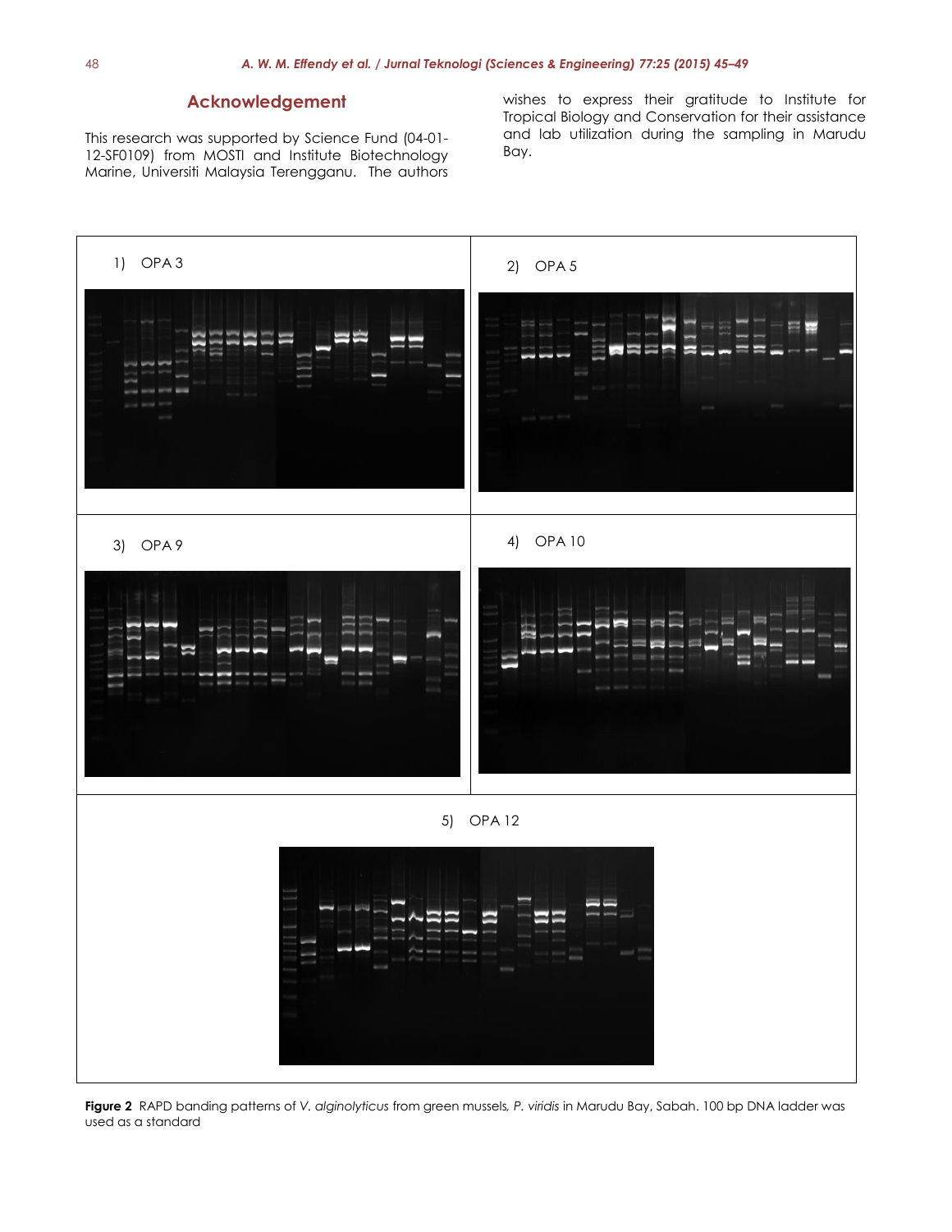#### **Acknowledgement**

This research was supported by Science Fund (04-01- 12-SF0109) from MOSTI and Institute Biotechnology Marine, Universiti Malaysia Terengganu. The authors wishes to express their gratitude to Institute for Tropical Biology and Conservation for their assistance and lab utilization during the sampling in Marudu Bay.



**Figure 2** RAPD banding patterns of *V. alginolyticus* from green mussels*, P. viridis* in Marudu Bay, Sabah. 100 bp DNA ladder was used as a standard